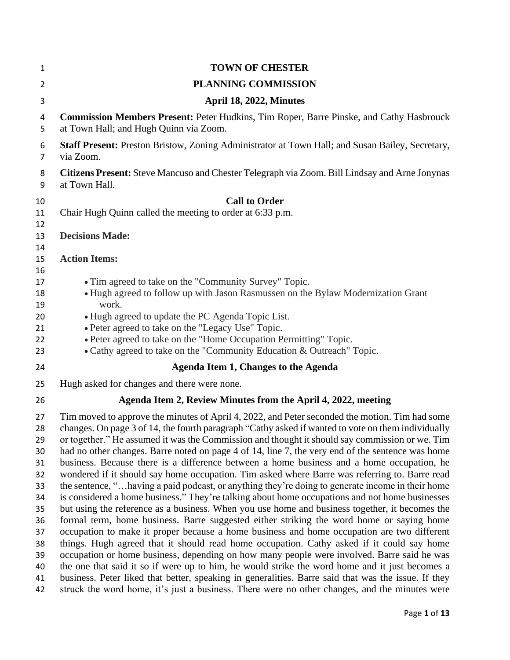| 1              | <b>TOWN OF CHESTER</b>                                                                                                                                                                               |
|----------------|------------------------------------------------------------------------------------------------------------------------------------------------------------------------------------------------------|
| $\overline{2}$ | PLANNING COMMISSION                                                                                                                                                                                  |
| 3              | April 18, 2022, Minutes                                                                                                                                                                              |
| 4<br>5         | Commission Members Present: Peter Hudkins, Tim Roper, Barre Pinske, and Cathy Hasbrouck<br>at Town Hall; and Hugh Quinn via Zoom.                                                                    |
| 6<br>7         | Staff Present: Preston Bristow, Zoning Administrator at Town Hall; and Susan Bailey, Secretary,<br>via Zoom.                                                                                         |
| 8<br>9         | Citizens Present: Steve Mancuso and Chester Telegraph via Zoom. Bill Lindsay and Arne Jonynas<br>at Town Hall.                                                                                       |
| 10             | <b>Call to Order</b>                                                                                                                                                                                 |
| 11             | Chair Hugh Quinn called the meeting to order at 6:33 p.m.                                                                                                                                            |
| 12<br>13       | <b>Decisions Made:</b>                                                                                                                                                                               |
| 14             |                                                                                                                                                                                                      |
| 15             | <b>Action Items:</b>                                                                                                                                                                                 |
| 16             |                                                                                                                                                                                                      |
| 17             | • Tim agreed to take on the "Community Survey" Topic.                                                                                                                                                |
| 18             | • Hugh agreed to follow up with Jason Rasmussen on the Bylaw Modernization Grant<br>work.                                                                                                            |
| 19<br>20       | • Hugh agreed to update the PC Agenda Topic List.                                                                                                                                                    |
| 21             | • Peter agreed to take on the "Legacy Use" Topic.                                                                                                                                                    |
| 22             | • Peter agreed to take on the "Home Occupation Permitting" Topic.                                                                                                                                    |
| 23             | • Cathy agreed to take on the "Community Education & Outreach" Topic.                                                                                                                                |
| 24             | Agenda Item 1, Changes to the Agenda                                                                                                                                                                 |
| 25             | Hugh asked for changes and there were none.                                                                                                                                                          |
| 26             | Agenda Item 2, Review Minutes from the April 4, 2022, meeting                                                                                                                                        |
| 27             | Tim moved to approve the minutes of April 4, 2022, and Peter seconded the motion. Tim had some                                                                                                       |
| 28             | changes. On page 3 of 14, the fourth paragraph "Cathy asked if wanted to vote on them individually                                                                                                   |
| 29             | or together." He assumed it was the Commission and thought it should say commission or we. Tim                                                                                                       |
| 30             | had no other changes. Barre noted on page 4 of 14, line 7, the very end of the sentence was home                                                                                                     |
| 31<br>32       | business. Because there is a difference between a home business and a home occupation, he<br>wondered if it should say home occupation. Tim asked where Barre was referring to. Barre read           |
| 33             | the sentence, " having a paid podcast, or anything they're doing to generate income in their home                                                                                                    |
| 34             | is considered a home business." They're talking about home occupations and not home businesses                                                                                                       |
| 35             | but using the reference as a business. When you use home and business together, it becomes the                                                                                                       |
| 36             | formal term, home business. Barre suggested either striking the word home or saying home                                                                                                             |
| 37             | occupation to make it proper because a home business and home occupation are two different                                                                                                           |
| 38             | things. Hugh agreed that it should read home occupation. Cathy asked if it could say home                                                                                                            |
| 39             | occupation or home business, depending on how many people were involved. Barre said he was                                                                                                           |
| 40             | the one that said it so if were up to him, he would strike the word home and it just becomes a                                                                                                       |
| 41<br>42       | business. Peter liked that better, speaking in generalities. Barre said that was the issue. If they<br>struck the word home, it's just a business. There were no other changes, and the minutes were |
|                |                                                                                                                                                                                                      |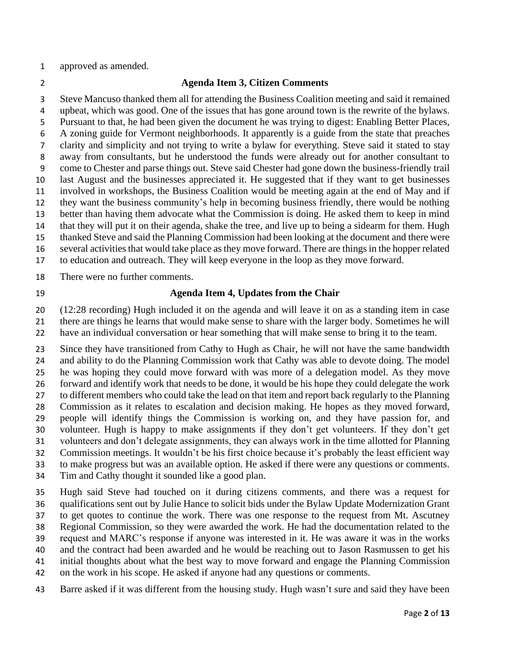approved as amended.

### **Agenda Item 3, Citizen Comments**

 Steve Mancuso thanked them all for attending the Business Coalition meeting and said it remained upbeat, which was good. One of the issues that has gone around town is the rewrite of the bylaws. Pursuant to that, he had been given the document he was trying to digest: Enabling Better Places, A zoning guide for Vermont neighborhoods. It apparently is a guide from the state that preaches clarity and simplicity and not trying to write a bylaw for everything. Steve said it stated to stay away from consultants, but he understood the funds were already out for another consultant to come to Chester and parse things out. Steve said Chester had gone down the business-friendly trail last August and the businesses appreciated it. He suggested that if they want to get businesses involved in workshops, the Business Coalition would be meeting again at the end of May and if they want the business community's help in becoming business friendly, there would be nothing better than having them advocate what the Commission is doing. He asked them to keep in mind that they will put it on their agenda, shake the tree, and live up to being a sidearm for them. Hugh thanked Steve and said the Planning Commission had been looking at the document and there were several activities that would take place as they move forward. There are things in the hopper related

to education and outreach. They will keep everyone in the loop as they move forward.

There were no further comments.

### **Agenda Item 4, Updates from the Chair**

 (12:28 recording) Hugh included it on the agenda and will leave it on as a standing item in case there are things he learns that would make sense to share with the larger body. Sometimes he will

have an individual conversation or hear something that will make sense to bring it to the team.

 Since they have transitioned from Cathy to Hugh as Chair, he will not have the same bandwidth and ability to do the Planning Commission work that Cathy was able to devote doing. The model he was hoping they could move forward with was more of a delegation model. As they move forward and identify work that needs to be done, it would be his hope they could delegate the work to different members who could take the lead on that item and report back regularly to the Planning Commission as it relates to escalation and decision making. He hopes as they moved forward, people will identify things the Commission is working on, and they have passion for, and volunteer. Hugh is happy to make assignments if they don't get volunteers. If they don't get volunteers and don't delegate assignments, they can always work in the time allotted for Planning Commission meetings. It wouldn't be his first choice because it's probably the least efficient way to make progress but was an available option. He asked if there were any questions or comments. Tim and Cathy thought it sounded like a good plan.

 Hugh said Steve had touched on it during citizens comments, and there was a request for qualifications sent out by Julie Hance to solicit bids under the Bylaw Update Modernization Grant to get quotes to continue the work. There was one response to the request from Mt. Ascutney Regional Commission, so they were awarded the work. He had the documentation related to the request and MARC's response if anyone was interested in it. He was aware it was in the works and the contract had been awarded and he would be reaching out to Jason Rasmussen to get his initial thoughts about what the best way to move forward and engage the Planning Commission on the work in his scope. He asked if anyone had any questions or comments.

Barre asked if it was different from the housing study. Hugh wasn't sure and said they have been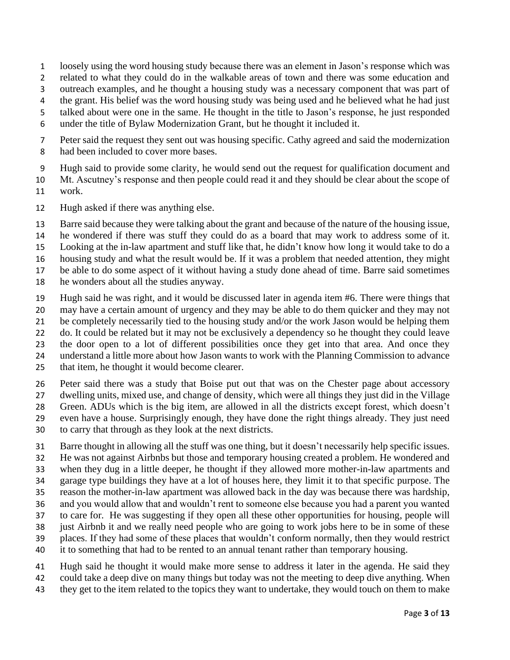- loosely using the word housing study because there was an element in Jason's response which was
- related to what they could do in the walkable areas of town and there was some education and
- outreach examples, and he thought a housing study was a necessary component that was part of
- 4 the grant. His belief was the word housing study was being used and he believed what he had just
- talked about were one in the same. He thought in the title to Jason's response, he just responded
- under the title of Bylaw Modernization Grant, but he thought it included it.
- Peter said the request they sent out was housing specific. Cathy agreed and said the modernization had been included to cover more bases.
- Hugh said to provide some clarity, he would send out the request for qualification document and
- Mt. Ascutney's response and then people could read it and they should be clear about the scope of
- work.
- Hugh asked if there was anything else.
- Barre said because they were talking about the grant and because of the nature of the housing issue,
- he wondered if there was stuff they could do as a board that may work to address some of it.
- Looking at the in-law apartment and stuff like that, he didn't know how long it would take to do a
- housing study and what the result would be. If it was a problem that needed attention, they might
- be able to do some aspect of it without having a study done ahead of time. Barre said sometimes
- he wonders about all the studies anyway.
- Hugh said he was right, and it would be discussed later in agenda item #6. There were things that may have a certain amount of urgency and they may be able to do them quicker and they may not
- be completely necessarily tied to the housing study and/or the work Jason would be helping them
- do. It could be related but it may not be exclusively a dependency so he thought they could leave
- the door open to a lot of different possibilities once they get into that area. And once they
- understand a little more about how Jason wants to work with the Planning Commission to advance
- that item, he thought it would become clearer.
- Peter said there was a study that Boise put out that was on the Chester page about accessory
- dwelling units, mixed use, and change of density, which were all things they just did in the Village
- Green. ADUs which is the big item, are allowed in all the districts except forest, which doesn't
- even have a house. Surprisingly enough, they have done the right things already. They just need
- to carry that through as they look at the next districts.
- Barre thought in allowing all the stuff was one thing, but it doesn't necessarily help specific issues.
- He was not against Airbnbs but those and temporary housing created a problem. He wondered and
- when they dug in a little deeper, he thought if they allowed more mother-in-law apartments and
- garage type buildings they have at a lot of houses here, they limit it to that specific purpose. The reason the mother-in-law apartment was allowed back in the day was because there was hardship,
- and you would allow that and wouldn't rent to someone else because you had a parent you wanted
- to care for. He was suggesting if they open all these other opportunities for housing, people will
- just Airbnb it and we really need people who are going to work jobs here to be in some of these
- places. If they had some of these places that wouldn't conform normally, then they would restrict
- it to something that had to be rented to an annual tenant rather than temporary housing.
- Hugh said he thought it would make more sense to address it later in the agenda. He said they could take a deep dive on many things but today was not the meeting to deep dive anything. When
- they get to the item related to the topics they want to undertake, they would touch on them to make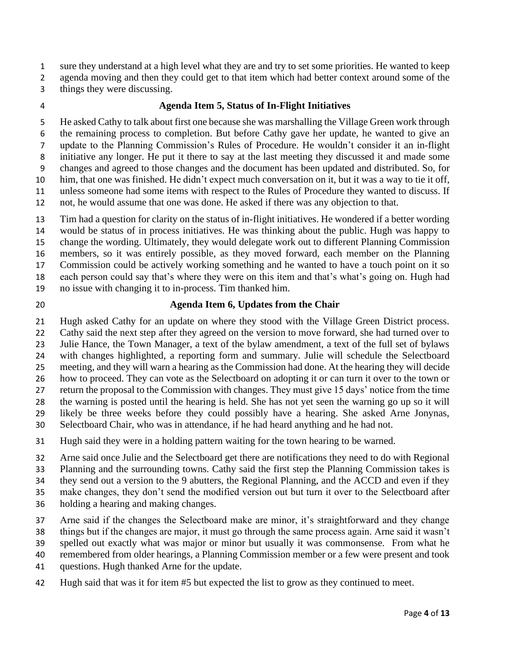sure they understand at a high level what they are and try to set some priorities. He wanted to keep

agenda moving and then they could get to that item which had better context around some of the

- things they were discussing.
- 

#### **Agenda Item 5, Status of In-Flight Initiatives**

 He asked Cathy to talk about first one because she was marshalling the Village Green work through the remaining process to completion. But before Cathy gave her update, he wanted to give an update to the Planning Commission's Rules of Procedure. He wouldn't consider it an in-flight initiative any longer. He put it there to say at the last meeting they discussed it and made some changes and agreed to those changes and the document has been updated and distributed. So, for him, that one was finished. He didn't expect much conversation on it, but it was a way to tie it off, unless someone had some items with respect to the Rules of Procedure they wanted to discuss. If not, he would assume that one was done. He asked if there was any objection to that.

 Tim had a question for clarity on the status of in-flight initiatives. He wondered if a better wording would be status of in process initiatives. He was thinking about the public. Hugh was happy to change the wording. Ultimately, they would delegate work out to different Planning Commission members, so it was entirely possible, as they moved forward, each member on the Planning Commission could be actively working something and he wanted to have a touch point on it so each person could say that's where they were on this item and that's what's going on. Hugh had no issue with changing it to in-process. Tim thanked him.

### **Agenda Item 6, Updates from the Chair**

 Hugh asked Cathy for an update on where they stood with the Village Green District process. 22 Cathy said the next step after they agreed on the version to move forward, she had turned over to Julie Hance, the Town Manager, a text of the bylaw amendment, a text of the full set of bylaws with changes highlighted, a reporting form and summary. Julie will schedule the Selectboard meeting, and they will warn a hearing as the Commission had done. At the hearing they will decide how to proceed. They can vote as the Selectboard on adopting it or can turn it over to the town or return the proposal to the Commission with changes. They must give 15 days' notice from the time the warning is posted until the hearing is held. She has not yet seen the warning go up so it will likely be three weeks before they could possibly have a hearing. She asked Arne Jonynas, Selectboard Chair, who was in attendance, if he had heard anything and he had not.

Hugh said they were in a holding pattern waiting for the town hearing to be warned.

Arne said once Julie and the Selectboard get there are notifications they need to do with Regional

Planning and the surrounding towns. Cathy said the first step the Planning Commission takes is

they send out a version to the 9 abutters, the Regional Planning, and the ACCD and even if they

make changes, they don't send the modified version out but turn it over to the Selectboard after

- holding a hearing and making changes.
- Arne said if the changes the Selectboard make are minor, it's straightforward and they change
- things but if the changes are major, it must go through the same process again. Arne said it wasn't
- spelled out exactly what was major or minor but usually it was commonsense. From what he
- remembered from older hearings, a Planning Commission member or a few were present and took
- questions. Hugh thanked Arne for the update.
- Hugh said that was it for item #5 but expected the list to grow as they continued to meet.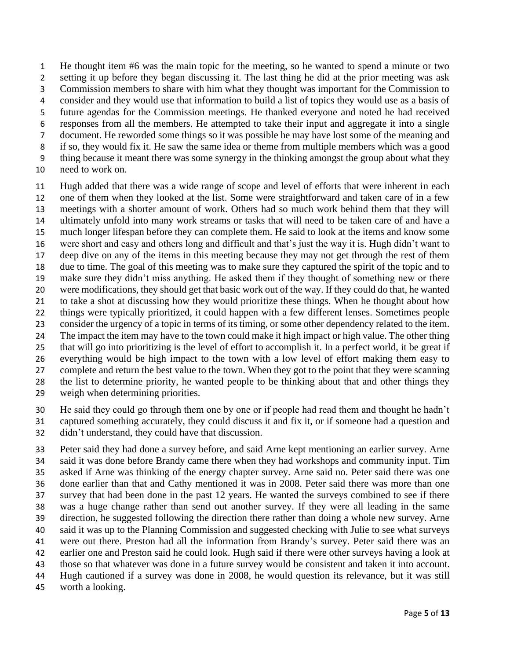He thought item #6 was the main topic for the meeting, so he wanted to spend a minute or two setting it up before they began discussing it. The last thing he did at the prior meeting was ask Commission members to share with him what they thought was important for the Commission to consider and they would use that information to build a list of topics they would use as a basis of future agendas for the Commission meetings. He thanked everyone and noted he had received responses from all the members. He attempted to take their input and aggregate it into a single document. He reworded some things so it was possible he may have lost some of the meaning and if so, they would fix it. He saw the same idea or theme from multiple members which was a good thing because it meant there was some synergy in the thinking amongst the group about what they need to work on.

 Hugh added that there was a wide range of scope and level of efforts that were inherent in each one of them when they looked at the list. Some were straightforward and taken care of in a few meetings with a shorter amount of work. Others had so much work behind them that they will ultimately unfold into many work streams or tasks that will need to be taken care of and have a much longer lifespan before they can complete them. He said to look at the items and know some were short and easy and others long and difficult and that's just the way it is. Hugh didn't want to deep dive on any of the items in this meeting because they may not get through the rest of them due to time. The goal of this meeting was to make sure they captured the spirit of the topic and to make sure they didn't miss anything. He asked them if they thought of something new or there were modifications, they should get that basic work out of the way. If they could do that, he wanted to take a shot at discussing how they would prioritize these things. When he thought about how things were typically prioritized, it could happen with a few different lenses. Sometimes people consider the urgency of a topic in terms of its timing, or some other dependency related to the item. 24 The impact the item may have to the town could make it high impact or high value. The other thing that will go into prioritizing is the level of effort to accomplish it. In a perfect world, it be great if everything would be high impact to the town with a low level of effort making them easy to complete and return the best value to the town. When they got to the point that they were scanning the list to determine priority, he wanted people to be thinking about that and other things they weigh when determining priorities.

 He said they could go through them one by one or if people had read them and thought he hadn't captured something accurately, they could discuss it and fix it, or if someone had a question and didn't understand, they could have that discussion.

 Peter said they had done a survey before, and said Arne kept mentioning an earlier survey. Arne said it was done before Brandy came there when they had workshops and community input. Tim asked if Arne was thinking of the energy chapter survey. Arne said no. Peter said there was one done earlier than that and Cathy mentioned it was in 2008. Peter said there was more than one survey that had been done in the past 12 years. He wanted the surveys combined to see if there was a huge change rather than send out another survey. If they were all leading in the same direction, he suggested following the direction there rather than doing a whole new survey. Arne said it was up to the Planning Commission and suggested checking with Julie to see what surveys were out there. Preston had all the information from Brandy's survey. Peter said there was an earlier one and Preston said he could look. Hugh said if there were other surveys having a look at those so that whatever was done in a future survey would be consistent and taken it into account. Hugh cautioned if a survey was done in 2008, he would question its relevance, but it was still worth a looking.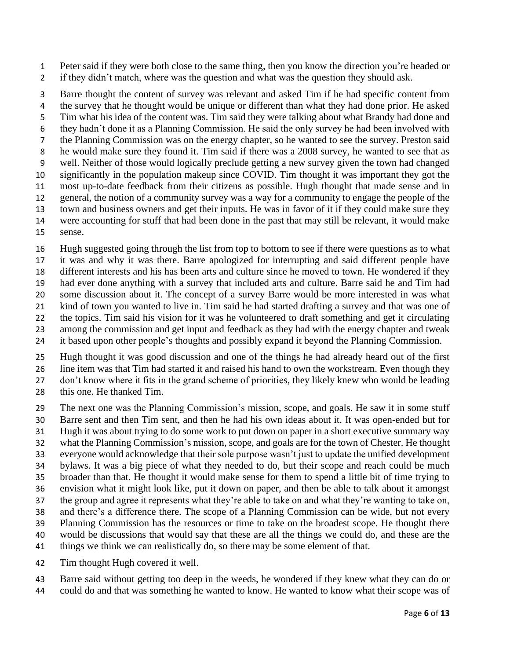Peter said if they were both close to the same thing, then you know the direction you're headed or 2 if they didn't match, where was the question and what was the question they should ask.

 Barre thought the content of survey was relevant and asked Tim if he had specific content from the survey that he thought would be unique or different than what they had done prior. He asked Tim what his idea of the content was. Tim said they were talking about what Brandy had done and they hadn't done it as a Planning Commission. He said the only survey he had been involved with the Planning Commission was on the energy chapter, so he wanted to see the survey. Preston said he would make sure they found it. Tim said if there was a 2008 survey, he wanted to see that as well. Neither of those would logically preclude getting a new survey given the town had changed significantly in the population makeup since COVID. Tim thought it was important they got the most up-to-date feedback from their citizens as possible. Hugh thought that made sense and in general, the notion of a community survey was a way for a community to engage the people of the town and business owners and get their inputs. He was in favor of it if they could make sure they were accounting for stuff that had been done in the past that may still be relevant, it would make

sense.

Hugh suggested going through the list from top to bottom to see if there were questions as to what

 it was and why it was there. Barre apologized for interrupting and said different people have different interests and his has been arts and culture since he moved to town. He wondered if they

had ever done anything with a survey that included arts and culture. Barre said he and Tim had

some discussion about it. The concept of a survey Barre would be more interested in was what

kind of town you wanted to live in. Tim said he had started drafting a survey and that was one of

 the topics. Tim said his vision for it was he volunteered to draft something and get it circulating among the commission and get input and feedback as they had with the energy chapter and tweak

it based upon other people's thoughts and possibly expand it beyond the Planning Commission.

Hugh thought it was good discussion and one of the things he had already heard out of the first

 line item was that Tim had started it and raised his hand to own the workstream. Even though they don't know where it fits in the grand scheme of priorities, they likely knew who would be leading

this one. He thanked Tim.

The next one was the Planning Commission's mission, scope, and goals. He saw it in some stuff

Barre sent and then Tim sent, and then he had his own ideas about it. It was open-ended but for

- Hugh it was about trying to do some work to put down on paper in a short executive summary way
- what the Planning Commission's mission, scope, and goals are for the town of Chester. He thought
- everyone would acknowledge that their sole purpose wasn't just to update the unified development

 bylaws. It was a big piece of what they needed to do, but their scope and reach could be much broader than that. He thought it would make sense for them to spend a little bit of time trying to

envision what it might look like, put it down on paper, and then be able to talk about it amongst

the group and agree it represents what they're able to take on and what they're wanting to take on,

and there's a difference there. The scope of a Planning Commission can be wide, but not every

Planning Commission has the resources or time to take on the broadest scope. He thought there

would be discussions that would say that these are all the things we could do, and these are the

things we think we can realistically do, so there may be some element of that.

Tim thought Hugh covered it well.

 Barre said without getting too deep in the weeds, he wondered if they knew what they can do or could do and that was something he wanted to know. He wanted to know what their scope was of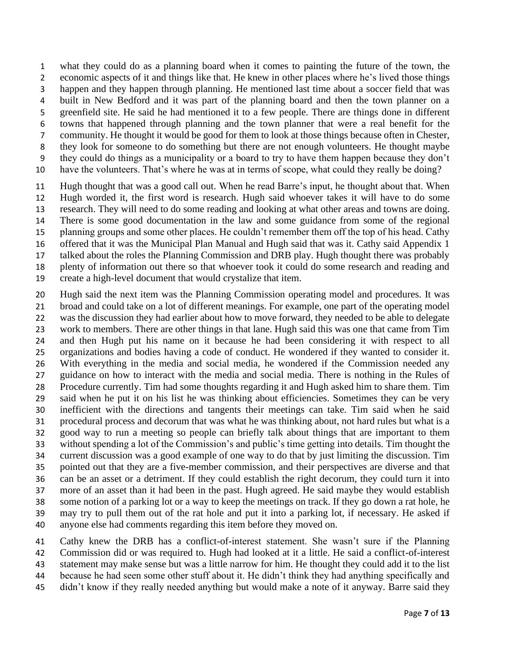what they could do as a planning board when it comes to painting the future of the town, the economic aspects of it and things like that. He knew in other places where he's lived those things happen and they happen through planning. He mentioned last time about a soccer field that was built in New Bedford and it was part of the planning board and then the town planner on a greenfield site. He said he had mentioned it to a few people. There are things done in different towns that happened through planning and the town planner that were a real benefit for the community. He thought it would be good for them to look at those things because often in Chester, they look for someone to do something but there are not enough volunteers. He thought maybe they could do things as a municipality or a board to try to have them happen because they don't have the volunteers. That's where he was at in terms of scope, what could they really be doing?

 Hugh thought that was a good call out. When he read Barre's input, he thought about that. When Hugh worded it, the first word is research. Hugh said whoever takes it will have to do some research. They will need to do some reading and looking at what other areas and towns are doing. There is some good documentation in the law and some guidance from some of the regional planning groups and some other places. He couldn't remember them off the top of his head. Cathy offered that it was the Municipal Plan Manual and Hugh said that was it. Cathy said Appendix 1 talked about the roles the Planning Commission and DRB play. Hugh thought there was probably plenty of information out there so that whoever took it could do some research and reading and create a high-level document that would crystalize that item.

 Hugh said the next item was the Planning Commission operating model and procedures. It was broad and could take on a lot of different meanings. For example, one part of the operating model was the discussion they had earlier about how to move forward, they needed to be able to delegate work to members. There are other things in that lane. Hugh said this was one that came from Tim and then Hugh put his name on it because he had been considering it with respect to all organizations and bodies having a code of conduct. He wondered if they wanted to consider it. With everything in the media and social media, he wondered if the Commission needed any guidance on how to interact with the media and social media. There is nothing in the Rules of Procedure currently. Tim had some thoughts regarding it and Hugh asked him to share them. Tim said when he put it on his list he was thinking about efficiencies. Sometimes they can be very inefficient with the directions and tangents their meetings can take. Tim said when he said procedural process and decorum that was what he was thinking about, not hard rules but what is a good way to run a meeting so people can briefly talk about things that are important to them without spending a lot of the Commission's and public's time getting into details. Tim thought the current discussion was a good example of one way to do that by just limiting the discussion. Tim pointed out that they are a five-member commission, and their perspectives are diverse and that can be an asset or a detriment. If they could establish the right decorum, they could turn it into more of an asset than it had been in the past. Hugh agreed. He said maybe they would establish some notion of a parking lot or a way to keep the meetings on track. If they go down a rat hole, he may try to pull them out of the rat hole and put it into a parking lot, if necessary. He asked if anyone else had comments regarding this item before they moved on.

 Cathy knew the DRB has a conflict-of-interest statement. She wasn't sure if the Planning Commission did or was required to. Hugh had looked at it a little. He said a conflict-of-interest statement may make sense but was a little narrow for him. He thought they could add it to the list because he had seen some other stuff about it. He didn't think they had anything specifically and didn't know if they really needed anything but would make a note of it anyway. Barre said they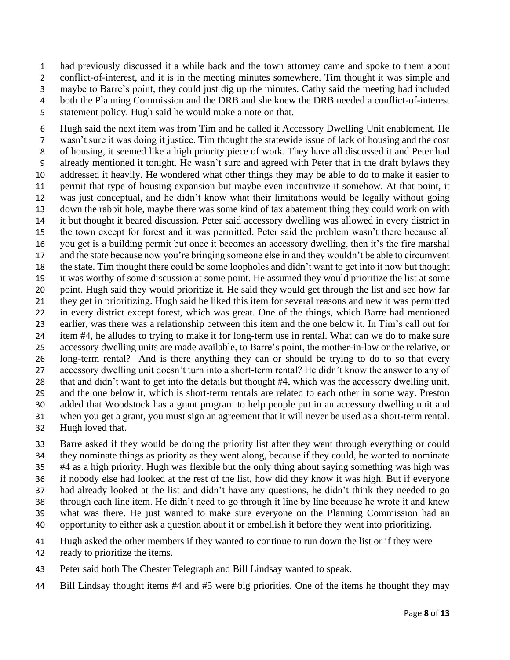had previously discussed it a while back and the town attorney came and spoke to them about conflict-of-interest, and it is in the meeting minutes somewhere. Tim thought it was simple and maybe to Barre's point, they could just dig up the minutes. Cathy said the meeting had included both the Planning Commission and the DRB and she knew the DRB needed a conflict-of-interest statement policy. Hugh said he would make a note on that.

 Hugh said the next item was from Tim and he called it Accessory Dwelling Unit enablement. He wasn't sure it was doing it justice. Tim thought the statewide issue of lack of housing and the cost of housing, it seemed like a high priority piece of work. They have all discussed it and Peter had already mentioned it tonight. He wasn't sure and agreed with Peter that in the draft bylaws they addressed it heavily. He wondered what other things they may be able to do to make it easier to permit that type of housing expansion but maybe even incentivize it somehow. At that point, it was just conceptual, and he didn't know what their limitations would be legally without going down the rabbit hole, maybe there was some kind of tax abatement thing they could work on with it but thought it beared discussion. Peter said accessory dwelling was allowed in every district in the town except for forest and it was permitted. Peter said the problem wasn't there because all you get is a building permit but once it becomes an accessory dwelling, then it's the fire marshal and the state because now you're bringing someone else in and they wouldn't be able to circumvent the state. Tim thought there could be some loopholes and didn't want to get into it now but thought it was worthy of some discussion at some point. He assumed they would prioritize the list at some point. Hugh said they would prioritize it. He said they would get through the list and see how far they get in prioritizing. Hugh said he liked this item for several reasons and new it was permitted in every district except forest, which was great. One of the things, which Barre had mentioned earlier, was there was a relationship between this item and the one below it. In Tim's call out for item #4, he alludes to trying to make it for long-term use in rental. What can we do to make sure accessory dwelling units are made available, to Barre's point, the mother-in-law or the relative, or long-term rental? And is there anything they can or should be trying to do to so that every accessory dwelling unit doesn't turn into a short-term rental? He didn't know the answer to any of that and didn't want to get into the details but thought #4, which was the accessory dwelling unit, and the one below it, which is short-term rentals are related to each other in some way. Preston added that Woodstock has a grant program to help people put in an accessory dwelling unit and when you get a grant, you must sign an agreement that it will never be used as a short-term rental. Hugh loved that.

 Barre asked if they would be doing the priority list after they went through everything or could they nominate things as priority as they went along, because if they could, he wanted to nominate #4 as a high priority. Hugh was flexible but the only thing about saying something was high was if nobody else had looked at the rest of the list, how did they know it was high. But if everyone had already looked at the list and didn't have any questions, he didn't think they needed to go through each line item. He didn't need to go through it line by line because he wrote it and knew what was there. He just wanted to make sure everyone on the Planning Commission had an opportunity to either ask a question about it or embellish it before they went into prioritizing.

 Hugh asked the other members if they wanted to continue to run down the list or if they were ready to prioritize the items.

- Peter said both The Chester Telegraph and Bill Lindsay wanted to speak.
- Bill Lindsay thought items #4 and #5 were big priorities. One of the items he thought they may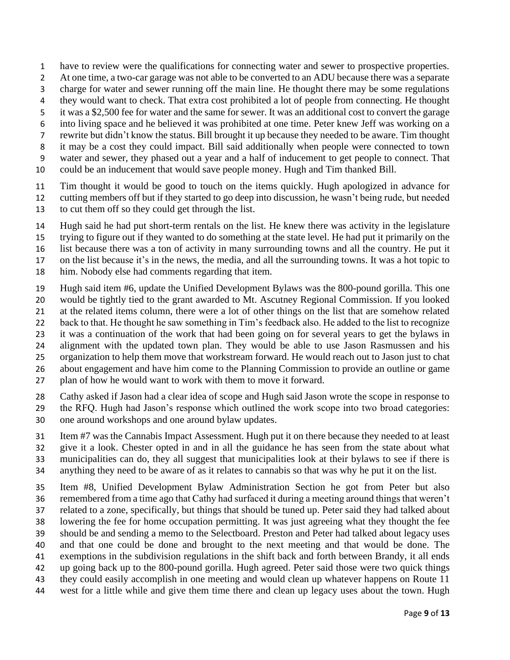- have to review were the qualifications for connecting water and sewer to prospective properties.
- At one time, a two-car garage was not able to be converted to an ADU because there was a separate
- charge for water and sewer running off the main line. He thought there may be some regulations
- they would want to check. That extra cost prohibited a lot of people from connecting. He thought
- it was a \$2,500 fee for water and the same for sewer. It was an additional cost to convert the garage
- into living space and he believed it was prohibited at one time. Peter knew Jeff was working on a
- rewrite but didn't know the status. Bill brought it up because they needed to be aware. Tim thought
- it may be a cost they could impact. Bill said additionally when people were connected to town
- water and sewer, they phased out a year and a half of inducement to get people to connect. That
- could be an inducement that would save people money. Hugh and Tim thanked Bill.
- Tim thought it would be good to touch on the items quickly. Hugh apologized in advance for cutting members off but if they started to go deep into discussion, he wasn't being rude, but needed
- to cut them off so they could get through the list.
- Hugh said he had put short-term rentals on the list. He knew there was activity in the legislature
- trying to figure out if they wanted to do something at the state level. He had put it primarily on the
- list because there was a ton of activity in many surrounding towns and all the country. He put it
- on the list because it's in the news, the media, and all the surrounding towns. It was a hot topic to
- him. Nobody else had comments regarding that item.
- Hugh said item #6, update the Unified Development Bylaws was the 800-pound gorilla. This one
- would be tightly tied to the grant awarded to Mt. Ascutney Regional Commission. If you looked
- at the related items column, there were a lot of other things on the list that are somehow related
- back to that. He thought he saw something in Tim's feedback also. He added to the list to recognize
- it was a continuation of the work that had been going on for several years to get the bylaws in
- alignment with the updated town plan. They would be able to use Jason Rasmussen and his
- organization to help them move that workstream forward. He would reach out to Jason just to chat
- about engagement and have him come to the Planning Commission to provide an outline or game
- plan of how he would want to work with them to move it forward.
- Cathy asked if Jason had a clear idea of scope and Hugh said Jason wrote the scope in response to
- the RFQ. Hugh had Jason's response which outlined the work scope into two broad categories: one around workshops and one around bylaw updates.
- Item #7 was the Cannabis Impact Assessment. Hugh put it on there because they needed to at least give it a look. Chester opted in and in all the guidance he has seen from the state about what municipalities can do, they all suggest that municipalities look at their bylaws to see if there is
- anything they need to be aware of as it relates to cannabis so that was why he put it on the list.
- Item #8, Unified Development Bylaw Administration Section he got from Peter but also remembered from a time ago that Cathy had surfaced it during a meeting around things that weren't related to a zone, specifically, but things that should be tuned up. Peter said they had talked about lowering the fee for home occupation permitting. It was just agreeing what they thought the fee should be and sending a memo to the Selectboard. Preston and Peter had talked about legacy uses and that one could be done and brought to the next meeting and that would be done. The exemptions in the subdivision regulations in the shift back and forth between Brandy, it all ends up going back up to the 800-pound gorilla. Hugh agreed. Peter said those were two quick things
- they could easily accomplish in one meeting and would clean up whatever happens on Route 11
- west for a little while and give them time there and clean up legacy uses about the town. Hugh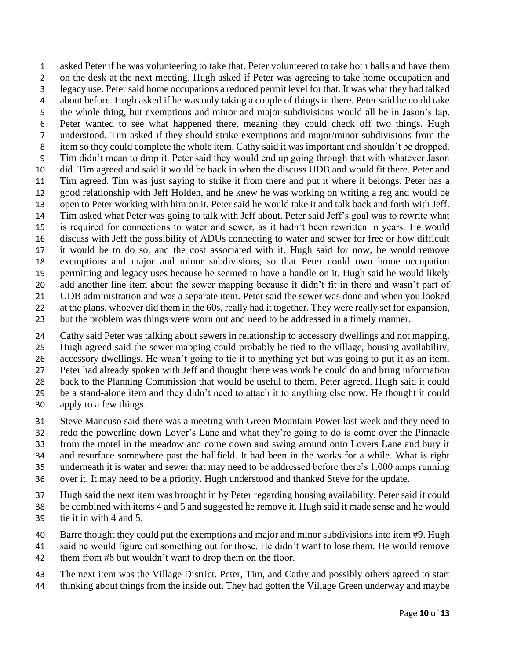asked Peter if he was volunteering to take that. Peter volunteered to take both balls and have them on the desk at the next meeting. Hugh asked if Peter was agreeing to take home occupation and legacy use. Peter said home occupations a reduced permit level for that. It was what they had talked about before. Hugh asked if he was only taking a couple of things in there. Peter said he could take the whole thing, but exemptions and minor and major subdivisions would all be in Jason's lap. Peter wanted to see what happened there, meaning they could check off two things. Hugh understood. Tim asked if they should strike exemptions and major/minor subdivisions from the item so they could complete the whole item. Cathy said it was important and shouldn't be dropped. Tim didn't mean to drop it. Peter said they would end up going through that with whatever Jason did. Tim agreed and said it would be back in when the discuss UDB and would fit there. Peter and Tim agreed. Tim was just saying to strike it from there and put it where it belongs. Peter has a good relationship with Jeff Holden, and he knew he was working on writing a reg and would be open to Peter working with him on it. Peter said he would take it and talk back and forth with Jeff. Tim asked what Peter was going to talk with Jeff about. Peter said Jeff's goal was to rewrite what is required for connections to water and sewer, as it hadn't been rewritten in years. He would discuss with Jeff the possibility of ADUs connecting to water and sewer for free or how difficult it would be to do so, and the cost associated with it. Hugh said for now, he would remove exemptions and major and minor subdivisions, so that Peter could own home occupation permitting and legacy uses because he seemed to have a handle on it. Hugh said he would likely 20 add another line item about the sewer mapping because it didn't fit in there and wasn't part of UDB administration and was a separate item. Peter said the sewer was done and when you looked 22 at the plans, whoever did them in the 60s, really had it together. They were really set for expansion, but the problem was things were worn out and need to be addressed in a timely manner.

 Cathy said Peter was talking about sewers in relationship to accessory dwellings and not mapping. Hugh agreed said the sewer mapping could probably be tied to the village, housing availability, accessory dwellings. He wasn't going to tie it to anything yet but was going to put it as an item. Peter had already spoken with Jeff and thought there was work he could do and bring information back to the Planning Commission that would be useful to them. Peter agreed. Hugh said it could be a stand-alone item and they didn't need to attach it to anything else now. He thought it could apply to a few things.

- Steve Mancuso said there was a meeting with Green Mountain Power last week and they need to
- redo the powerline down Lover's Lane and what they're going to do is come over the Pinnacle
- from the motel in the meadow and come down and swing around onto Lovers Lane and bury it
- and resurface somewhere past the ballfield. It had been in the works for a while. What is right
- underneath it is water and sewer that may need to be addressed before there's 1,000 amps running over it. It may need to be a priority. Hugh understood and thanked Steve for the update.
- 
- Hugh said the next item was brought in by Peter regarding housing availability. Peter said it could be combined with items 4 and 5 and suggested he remove it. Hugh said it made sense and he would tie it in with 4 and 5.
- 40 Barre thought they could put the exemptions and major and minor subdivisions into item #9. Hugh
- said he would figure out something out for those. He didn't want to lose them. He would remove them from #8 but wouldn't want to drop them on the floor.
- 
- The next item was the Village District. Peter, Tim, and Cathy and possibly others agreed to start thinking about things from the inside out. They had gotten the Village Green underway and maybe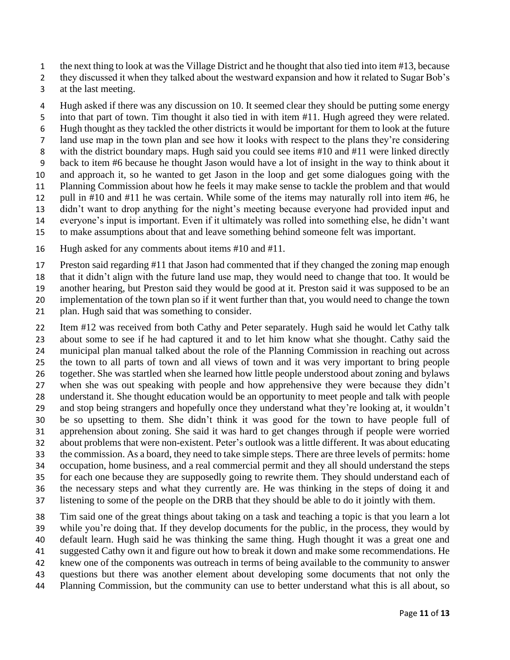- the next thing to look at was the Village District and he thought that also tied into item #13, because
- 2 they discussed it when they talked about the westward expansion and how it related to Sugar Bob's
- at the last meeting.
- Hugh asked if there was any discussion on 10. It seemed clear they should be putting some energy
- into that part of town. Tim thought it also tied in with item #11. Hugh agreed they were related.
- Hugh thought as they tackled the other districts it would be important for them to look at the future
- land use map in the town plan and see how it looks with respect to the plans they're considering
- with the district boundary maps. Hugh said you could see items #10 and #11 were linked directly
- back to item #6 because he thought Jason would have a lot of insight in the way to think about it and approach it, so he wanted to get Jason in the loop and get some dialogues going with the
- Planning Commission about how he feels it may make sense to tackle the problem and that would
- pull in #10 and #11 he was certain. While some of the items may naturally roll into item #6, he
- didn't want to drop anything for the night's meeting because everyone had provided input and
- everyone's input is important. Even if it ultimately was rolled into something else, he didn't want
- to make assumptions about that and leave something behind someone felt was important.
- Hugh asked for any comments about items #10 and #11.
- Preston said regarding #11 that Jason had commented that if they changed the zoning map enough
- that it didn't align with the future land use map, they would need to change that too. It would be
- another hearing, but Preston said they would be good at it. Preston said it was supposed to be an
- implementation of the town plan so if it went further than that, you would need to change the town
- plan. Hugh said that was something to consider.
- Item #12 was received from both Cathy and Peter separately. Hugh said he would let Cathy talk about some to see if he had captured it and to let him know what she thought. Cathy said the municipal plan manual talked about the role of the Planning Commission in reaching out across the town to all parts of town and all views of town and it was very important to bring people together. She was startled when she learned how little people understood about zoning and bylaws when she was out speaking with people and how apprehensive they were because they didn't understand it. She thought education would be an opportunity to meet people and talk with people and stop being strangers and hopefully once they understand what they're looking at, it wouldn't be so upsetting to them. She didn't think it was good for the town to have people full of apprehension about zoning. She said it was hard to get changes through if people were worried about problems that were non-existent. Peter's outlook was a little different. It was about educating the commission. As a board, they need to take simple steps. There are three levels of permits: home occupation, home business, and a real commercial permit and they all should understand the steps for each one because they are supposedly going to rewrite them. They should understand each of the necessary steps and what they currently are. He was thinking in the steps of doing it and
- listening to some of the people on the DRB that they should be able to do it jointly with them.
- Tim said one of the great things about taking on a task and teaching a topic is that you learn a lot while you're doing that. If they develop documents for the public, in the process, they would by
- default learn. Hugh said he was thinking the same thing. Hugh thought it was a great one and
- suggested Cathy own it and figure out how to break it down and make some recommendations. He
- knew one of the components was outreach in terms of being available to the community to answer
- questions but there was another element about developing some documents that not only the
- Planning Commission, but the community can use to better understand what this is all about, so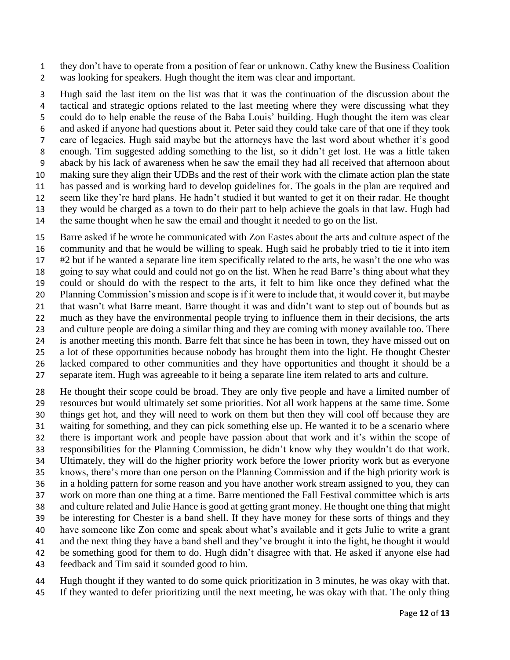they don't have to operate from a position of fear or unknown. Cathy knew the Business Coalition was looking for speakers. Hugh thought the item was clear and important.

 Hugh said the last item on the list was that it was the continuation of the discussion about the tactical and strategic options related to the last meeting where they were discussing what they could do to help enable the reuse of the Baba Louis' building. Hugh thought the item was clear and asked if anyone had questions about it. Peter said they could take care of that one if they took care of legacies. Hugh said maybe but the attorneys have the last word about whether it's good enough. Tim suggested adding something to the list, so it didn't get lost. He was a little taken aback by his lack of awareness when he saw the email they had all received that afternoon about making sure they align their UDBs and the rest of their work with the climate action plan the state has passed and is working hard to develop guidelines for. The goals in the plan are required and seem like they're hard plans. He hadn't studied it but wanted to get it on their radar. He thought they would be charged as a town to do their part to help achieve the goals in that law. Hugh had the same thought when he saw the email and thought it needed to go on the list.

 Barre asked if he wrote he communicated with Zon Eastes about the arts and culture aspect of the community and that he would be willing to speak. Hugh said he probably tried to tie it into item #2 but if he wanted a separate line item specifically related to the arts, he wasn't the one who was going to say what could and could not go on the list. When he read Barre's thing about what they could or should do with the respect to the arts, it felt to him like once they defined what the Planning Commission's mission and scope is if it were to include that, it would cover it, but maybe that wasn't what Barre meant. Barre thought it was and didn't want to step out of bounds but as much as they have the environmental people trying to influence them in their decisions, the arts and culture people are doing a similar thing and they are coming with money available too. There is another meeting this month. Barre felt that since he has been in town, they have missed out on a lot of these opportunities because nobody has brought them into the light. He thought Chester lacked compared to other communities and they have opportunities and thought it should be a separate item. Hugh was agreeable to it being a separate line item related to arts and culture.

 He thought their scope could be broad. They are only five people and have a limited number of resources but would ultimately set some priorities. Not all work happens at the same time. Some things get hot, and they will need to work on them but then they will cool off because they are waiting for something, and they can pick something else up. He wanted it to be a scenario where there is important work and people have passion about that work and it's within the scope of responsibilities for the Planning Commission, he didn't know why they wouldn't do that work. Ultimately, they will do the higher priority work before the lower priority work but as everyone knows, there's more than one person on the Planning Commission and if the high priority work is in a holding pattern for some reason and you have another work stream assigned to you, they can work on more than one thing at a time. Barre mentioned the Fall Festival committee which is arts and culture related and Julie Hance is good at getting grant money. He thought one thing that might be interesting for Chester is a band shell. If they have money for these sorts of things and they have someone like Zon come and speak about what's available and it gets Julie to write a grant and the next thing they have a band shell and they've brought it into the light, he thought it would be something good for them to do. Hugh didn't disagree with that. He asked if anyone else had feedback and Tim said it sounded good to him.

 Hugh thought if they wanted to do some quick prioritization in 3 minutes, he was okay with that. If they wanted to defer prioritizing until the next meeting, he was okay with that. The only thing